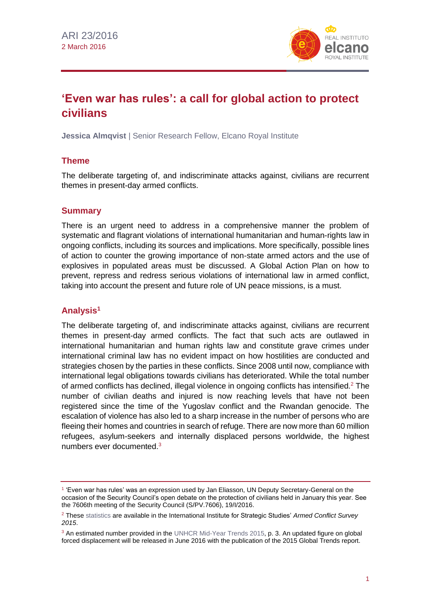

# **'Even war has rules': a call for global action to protect civilians**

**Jessica Almqvist** | Senior Research Fellow, Elcano Royal Institute

## **Theme**

The deliberate targeting of, and indiscriminate attacks against, civilians are recurrent themes in present-day armed conflicts.

### **Summary**

There is an urgent need to address in a comprehensive manner the problem of systematic and flagrant violations of international humanitarian and human-rights law in ongoing conflicts, including its sources and implications. More specifically, possible lines of action to counter the growing importance of non-state armed actors and the use of explosives in populated areas must be discussed. A Global Action Plan on how to prevent, repress and redress serious violations of international law in armed conflict, taking into account the present and future role of UN peace missions, is a must.

## **Analysis<sup>1</sup>**

The deliberate targeting of, and indiscriminate attacks against, civilians are recurrent themes in present-day armed conflicts. The fact that such acts are outlawed in international humanitarian and human rights law and constitute grave crimes under international criminal law has no evident impact on how hostilities are conducted and strategies chosen by the parties in these conflicts. Since 2008 until now, compliance with international legal obligations towards civilians has deteriorated. While the total number of armed conflicts has declined, illegal violence in ongoing conflicts has intensified.<sup>2</sup> The number of civilian deaths and injured is now reaching levels that have not been registered since the time of the Yugoslav conflict and the Rwandan genocide. The escalation of violence has also led to a sharp increase in the number of persons who are fleeing their homes and countries in search of refuge. There are now more than 60 million refugees, asylum-seekers and internally displaced persons worldwide, the highest numbers ever documented.<sup>3</sup>

<sup>1</sup> 'Even war has rules' was an expression used by Jan Eliasson, UN Deputy Secretary-General on the occasion of the Security Council's open debate on the protection of civilians held in January this year. See the 7606th meeting of the Security Council (S/PV.7606), 19/I/2016.

<sup>2</sup> Thes[e statistics](http://www.iiss.org/-/media/images/publications/armed%20conflict%20survey/2015/conflicts%20vs%20no%20of%20fatalities%20copyright.jpg?la=en) are available in the International Institute for Strategic Studies' *Armed Conflict Survey 2015*.

<sup>&</sup>lt;sup>3</sup> An estimated number provided in th[e UNHCR Mid-Year Trends 2015,](http://www.unhcr.org/56701b969.html#_ga=1.197949359.14742515.1455006307) p. 3. An updated figure on global forced displacement will be released in June 2016 with the publication of the 2015 Global Trends report.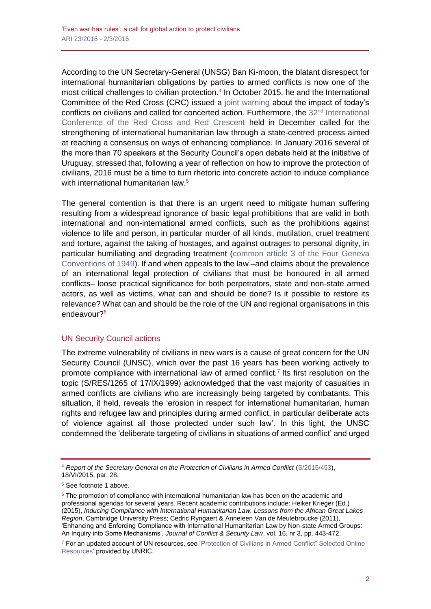According to the UN Secretary-General (UNSG) Ban Ki-moon, the blatant disrespect for international humanitarian obligations by parties to armed conflicts is now one of the most critical challenges to civilian protection.<sup>4</sup> In October 2015, he and the International Committee of the Red Cross (CRC) issued a [joint warning](https://www.icrc.org/en/document/conflict-disaster-crisis-UN-red-cross-issue-warning) about the impact of today's conflicts on civilians and called for concerted action. Furthermore, the 32<sup>nd</sup> International [Conference of the Red Cross and Red Crescent](https://www.icrc.org/en/document/outcomes-32nd-international-conference-red-cross-and-red-crescent) held in December called for the strengthening of international humanitarian law through a state-centred process aimed at reaching a consensus on ways of enhancing compliance. In January 2016 several of the more than 70 speakers at the Security Council's open debate held at the initiative of Uruguay, stressed that, following a year of reflection on how to improve the protection of civilians, 2016 must be a time to turn rhetoric into concrete action to induce compliance with international humanitarian law.<sup>5</sup>

The general contention is that there is an urgent need to mitigate human suffering resulting from a widespread ignorance of basic legal prohibitions that are valid in both international and non-international armed conflicts, such as the prohibitions against violence to life and person, in particular murder of all kinds, mutilation, cruel treatment and torture, against the taking of hostages, and against outrages to personal dignity, in particular humiliating and degrading treatment [\(common article 3 of the Four Geneva](https://www.icrc.org/ihl/WebART/375-590006)  [Conventions of 1949\)](https://www.icrc.org/ihl/WebART/375-590006). If and when appeals to the law –and claims about the prevalence of an international legal protection of civilians that must be honoured in all armed conflicts– loose practical significance for both perpetrators, state and non-state armed actors, as well as victims, what can and should be done? Is it possible to restore its relevance? What can and should be the role of the UN and regional organisations in this endeavour?<sup>6</sup>

#### UN Security Council actions

The extreme vulnerability of civilians in new wars is a cause of great concern for the UN Security Council (UNSC), which over the past 16 years has been working actively to promote compliance with international law of armed conflict.<sup>7</sup> Its first resolution on the topic (S/RES/1265 of 17/IX/1999) acknowledged that the vast majority of casualties in armed conflicts are civilians who are increasingly being targeted by combatants. This situation, it held, reveals the 'erosion in respect for international humanitarian, human rights and refugee law and principles during armed conflict, in particular deliberate acts of violence against all those protected under such law'. In this light, the UNSC condemned the 'deliberate targeting of civilians in situations of armed conflict' and urged

<sup>4</sup> *Report of the Secretary General on the Protection of Civilians in Armed Conflict* [\(S/2015/453\)](http://www.un.org/ga/search/view_doc.asp?symbol=S/2015/453), 18/VI/2015, par. 28.

<sup>5</sup> See footnote 1 above.

 $6$  The promotion of compliance with international humanitarian law has been on the academic and professional agendas for several years. Recent academic contributions include: Heiker Krieger (Ed.) (2015), *Inducing Compliance with International Humanitarian Law. Lessons from the African Great Lakes Region*, Cambridge University Press; Cedric Ryngaert & Anneleen Van de Meulebroucke (2011), 'Enhancing and Enforcing Compliance with International Humanitarian Law by Non-state Armed Groups: An Inquiry into Some Mechanisms', *Journal of Conflict & Security Law*, vol. 16, nr 3, pp. 443-472.

<sup>&</sup>lt;sup>7</sup> For an updated account of UN resources, see 'Protection of Civilians in Armed Conflict" Selected Online [Resources'](http://www.unric.org/html/english/library/backgrounders/civilians.pdf) provided by UNRIC.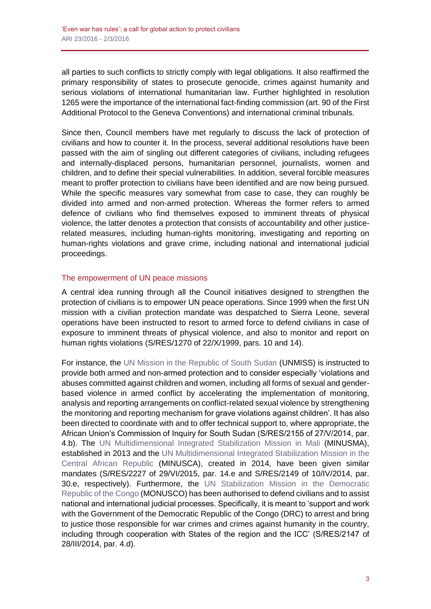all parties to such conflicts to strictly comply with legal obligations. It also reaffirmed the primary responsibility of states to prosecute genocide, crimes against humanity and serious violations of international humanitarian law. Further highlighted in resolution 1265 were the importance of the international fact-finding commission (art. 90 of the First Additional Protocol to the Geneva Conventions) and international criminal tribunals.

Since then, Council members have met regularly to discuss the lack of protection of civilians and how to counter it. In the process, several additional resolutions have been passed with the aim of singling out different categories of civilians, including refugees and internally-displaced persons, humanitarian personnel, journalists, women and children, and to define their special vulnerabilities. In addition, several forcible measures meant to proffer protection to civilians have been identified and are now being pursued. While the specific measures vary somewhat from case to case, they can roughly be divided into armed and non-armed protection. Whereas the former refers to armed defence of civilians who find themselves exposed to imminent threats of physical violence, the latter denotes a protection that consists of accountability and other justicerelated measures, including human-rights monitoring, investigating and reporting on human-rights violations and grave crime, including national and international judicial proceedings.

#### The empowerment of UN peace missions

A central idea running through all the Council initiatives designed to strengthen the protection of civilians is to empower UN peace operations. Since 1999 when the first UN mission with a civilian protection mandate was despatched to Sierra Leone, several operations have been instructed to resort to armed force to defend civilians in case of exposure to imminent threats of physical violence, and also to monitor and report on human rights violations (S/RES/1270 of 22/X/1999, pars. 10 and 14).

For instance, the [UN Mission in the Republic of South Sudan](http://www.un.org/en/peacekeeping/missions/unmiss/) (UNMISS) is instructed to provide both armed and non-armed protection and to consider especially 'violations and abuses committed against children and women, including all forms of sexual and genderbased violence in armed conflict by accelerating the implementation of monitoring, analysis and reporting arrangements on conflict-related sexual violence by strengthening the monitoring and reporting mechanism for grave violations against children'. It has also been directed to coordinate with and to offer technical support to, where appropriate, the African Union's Commission of Inquiry for South Sudan (S/RES/2155 of 27/V/2014, par. 4.b). The [UN Multidimensional Integrated Stabilization Mission in Mali](http://www.un.org/en/peacekeeping/missions/minusma/) (MINUSMA), established in 2013 and the [UN Multidimensional Integrated Stabilization Mission in the](http://www.un.org/en/peacekeeping/missions/minusca/)  [Central African Republic](http://www.un.org/en/peacekeeping/missions/minusca/) (MINUSCA), created in 2014, have been given similar mandates (S/RES/2227 of 29/VI/2015, par. 14.e and S/RES/2149 of 10/IV/2014, par. 30.e, respectively). Furthermore, the [UN Stabilization Mission in the Democratic](http://www.un.org/en/peacekeeping/missions/monusco/)  [Republic of the Congo](http://www.un.org/en/peacekeeping/missions/monusco/) (MONUSCO) has been authorised to defend civilians and to assist national and international judicial processes. Specifically, it is meant to 'support and work with the Government of the Democratic Republic of the Congo (DRC) to arrest and bring to justice those responsible for war crimes and crimes against humanity in the country, including through cooperation with States of the region and the ICC' (S/RES/2147 of 28/III/2014, par. 4.d).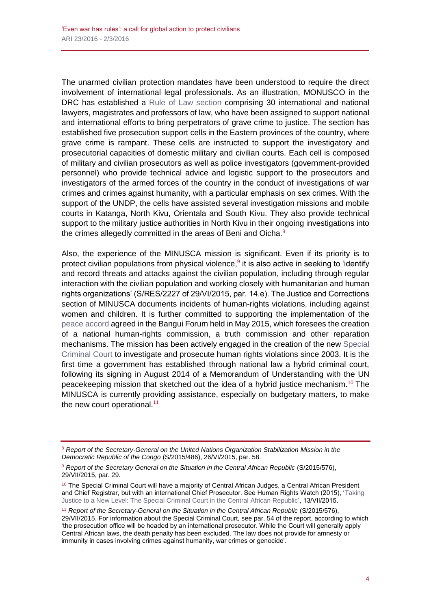The unarmed civilian protection mandates have been understood to require the direct involvement of international legal professionals. As an illustration, MONUSCO in the DRC has established a [Rule of Law section](http://monusco.unmissions.org/Default.aspx?tabid=10803&language=en-US) comprising 30 international and national lawyers, magistrates and professors of law, who have been assigned to support national and international efforts to bring perpetrators of grave crime to justice. The section has established five prosecution support cells in the Eastern provinces of the country, where grave crime is rampant. These cells are instructed to support the investigatory and prosecutorial capacities of domestic military and civilian courts. Each cell is composed of military and civilian prosecutors as well as police investigators (government-provided personnel) who provide technical advice and logistic support to the prosecutors and investigators of the armed forces of the country in the conduct of investigations of war crimes and crimes against humanity, with a particular emphasis on sex crimes. With the support of the UNDP, the cells have assisted several investigation missions and mobile courts in Katanga, North Kivu, Orientala and South Kivu. They also provide technical support to the military justice authorities in North Kivu in their ongoing investigations into the crimes allegedly committed in the areas of Beni and Oicha.<sup>8</sup>

Also, the experience of the MINUSCA mission is significant. Even if its priority is to protect civilian populations from physical violence,<sup>9</sup> it is also active in seeking to 'identify and record threats and attacks against the civilian population, including through regular interaction with the civilian population and working closely with humanitarian and human rights organizations' (S/RES/2227 of 29/VI/2015, par. 14.e). The Justice and Corrections section of MINUSCA documents incidents of human-rights violations, including against women and children. It is further committed to supporting the implementation of the [peace accord](http://www.hdcentre.org/uploads/tx_news/Pacte-Republicain-Bangui-Forum-Mai-2015.pdf) agreed in the Bangui Forum held in May 2015, which foresees the creation of a national human-rights commission, a truth commission and other reparation mechanisms. The mission has been actively engaged in the creation of the new [Special](http://jurist.org/paperchase/2015/04/central-african-republic-government-establishes-special-criminal-court.php)  [Criminal Court](http://jurist.org/paperchase/2015/04/central-african-republic-government-establishes-special-criminal-court.php) to investigate and prosecute human rights violations since 2003. It is the first time a government has established through national law a hybrid criminal court, following its signing in August 2014 of a Memorandum of Understanding with the UN peacekeeping mission that sketched out the idea of a hybrid justice mechanism.<sup>10</sup> The MINUSCA is currently providing assistance, especially on budgetary matters, to make the new court operational. $11$ 

<sup>8</sup> *Report of the Secretary-General on the United Nations Organization Stabilization Mission in the Democratic Republic of the Congo* (S/2015/486), 26/VI/2015, par. 58.

<sup>&</sup>lt;sup>9</sup> Report of the Secretary General on the Situation in the Central African Republic (S/2015/576), 29/VII/2015, par. 29.

<sup>&</sup>lt;sup>10</sup> The Special Criminal Court will have a majority of Central African Judges, a Central African President and Chief Registrar, but with an international Chief Prosecutor. See Human Rights Watch (2015), ['Taking](https://www.hrw.org/news/2015/07/13/taking-justice-new-level-special-criminal-court-central-african-republic)  [Justice to a New Level: The Special Criminal Court in the Central African Republic',](https://www.hrw.org/news/2015/07/13/taking-justice-new-level-special-criminal-court-central-african-republic) 13/VII/2015.

<sup>&</sup>lt;sup>11</sup> Report of the Secretary-General on the Situation in the Central African Republic (S/2015/576), 29/VII/2015. For information about the Special Criminal Court, see par. 54 of the report, according to which 'the prosecution office will be headed by an international prosecutor. While the Court will generally apply Central African laws, the death penalty has been excluded. The law does not provide for amnesty or immunity in cases involving crimes against humanity, war crimes or genocide'.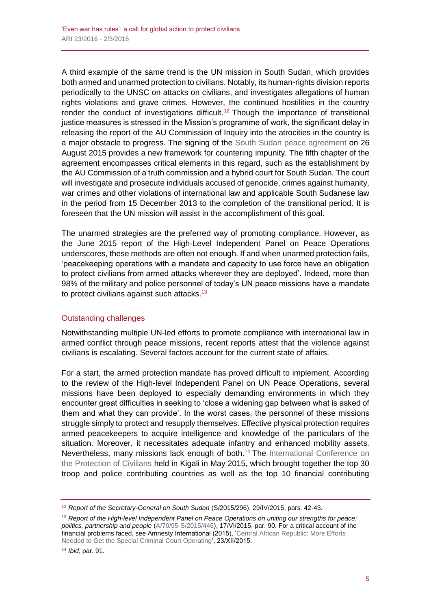A third example of the same trend is the UN mission in South Sudan, which provides both armed and unarmed protection to civilians. Notably, its human-rights division reports periodically to the UNSC on attacks on civilians, and investigates allegations of human rights violations and grave crimes. However, the continued hostilities in the country render the conduct of investigations difficult.<sup>12</sup> Though the importance of transitional justice measures is stressed in the Mission's programme of work, the significant delay in releasing the report of the AU Commission of Inquiry into the atrocities in the country is a major obstacle to progress. The signing of the [South Sudan peace agreement](http://www.sudantribune.com/spip.php?article56093) on 26 August 2015 provides a new framework for countering impunity. The fifth chapter of the agreement encompasses critical elements in this regard, such as the establishment by the AU Commission of a truth commission and a hybrid court for South Sudan. The court will investigate and prosecute individuals accused of genocide, crimes against humanity, war crimes and other violations of international law and applicable South Sudanese law in the period from 15 December 2013 to the completion of the transitional period. It is foreseen that the UN mission will assist in the accomplishment of this goal.

The unarmed strategies are the preferred way of promoting compliance. However, as the June 2015 report of the High-Level Independent Panel on Peace Operations underscores, these methods are often not enough. If and when unarmed protection fails, 'peacekeeping operations with a mandate and capacity to use force have an obligation to protect civilians from armed attacks wherever they are deployed'. Indeed, more than 98% of the military and police personnel of today's UN peace missions have a mandate to protect civilians against such attacks.<sup>13</sup>

#### Outstanding challenges

Notwithstanding multiple UN-led efforts to promote compliance with international law in armed conflict through peace missions, recent reports attest that the violence against civilians is escalating. Several factors account for the current state of affairs.

For a start, the armed protection mandate has proved difficult to implement. According to the review of the High-level Independent Panel on UN Peace Operations, several missions have been deployed to especially demanding environments in which they encounter great difficulties in seeking to 'close a widening gap between what is asked of them and what they can provide'. In the worst cases, the personnel of these missions struggle simply to protect and resupply themselves. Effective physical protection requires armed peacekeepers to acquire intelligence and knowledge of the particulars of the situation. Moreover, it necessitates adequate infantry and enhanced mobility assets. Nevertheless, many missions lack enough of both.<sup>14</sup> The International Conference on [the Protection of Civilians](http://civilianprotection.rw/wp-content/uploads/2015/09/REPORT_PoC_conference_Long-version.pdf) held in Kigali in May 2015, which brought together the top 30 troop and police contributing countries as well as the top 10 financial contributing

<sup>14</sup> *Ibid*, par. 91.

<sup>12</sup> *Report of the Secretary-General on South Sudan* (S/2015/296), 29/IV/2015, pars. 42-43.

<sup>13</sup> *Report of the High-level Independent Panel on Peace Operations on uniting our strengths for peace: politics, partnership and people* [\(A/70/95-S/2015/446\)](http://www.un.org/sg/pdf/HIPPO_Report_1_June_2015.pdf), 17/VI/2015, par. 90. For a critical account of the financial problems faced, see Amnesty International (2015), ['Central African Republic: More Efforts](https://www.amnesty.org/en/press-releases/2015/12/central-african-republic-progress-on-special-criminal-court/)  [Needed to Get the Special Criminal Court Operating',](https://www.amnesty.org/en/press-releases/2015/12/central-african-republic-progress-on-special-criminal-court/) 23/XII/2015.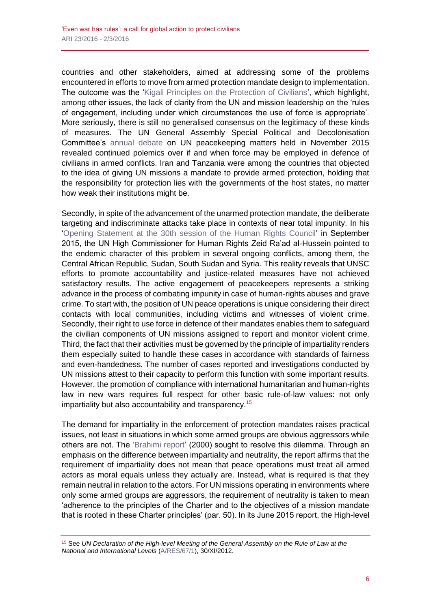countries and other stakeholders, aimed at addressing some of the problems encountered in efforts to move from armed protection mandate design to implementation. The outcome was the ['Kigali Principles on the Protection of Civilians'](http://www.african-defense.com/defense-news/kigali-principles-on-the-protection-of-civilians/), which highlight, among other issues, the lack of clarity from the UN and mission leadership on the 'rules of engagement, including under which circumstances the use of force is appropriate'. More seriously, there is still no generalised consensus on the legitimacy of these kinds of measures. The UN General Assembly Special Political and Decolonisation Committee's [annual debate](http://www.un.org/press/en/2015/gaspd597.doc.htm) on UN peacekeeping matters held in November 2015 revealed continued polemics over if and when force may be employed in defence of civilians in armed conflicts. Iran and Tanzania were among the countries that objected to the idea of giving UN missions a mandate to provide armed protection, holding that the responsibility for protection lies with the governments of the host states, no matter how weak their institutions might be.

Secondly, in spite of the advancement of the unarmed protection mandate, the deliberate targeting and indiscriminate attacks take place in contexts of near total impunity. In his ['Opening Statement at the 30th session of the Human Rights Council'](http://www.ohchr.org/EN/NewsEvents/Pages/DisplayNews.aspx?NewsID=16414&LangID=E) in September 2015, the UN High Commissioner for Human Rights Zeid Ra'ad al-Hussein pointed to the endemic character of this problem in several ongoing conflicts, among them, the Central African Republic, Sudan, South Sudan and Syria. This reality reveals that UNSC efforts to promote accountability and justice-related measures have not achieved satisfactory results. The active engagement of peacekeepers represents a striking advance in the process of combating impunity in case of human-rights abuses and grave crime. To start with, the position of UN peace operations is unique considering their direct contacts with local communities, including victims and witnesses of violent crime. Secondly, their right to use force in defence of their mandates enables them to safeguard the civilian components of UN missions assigned to report and monitor violent crime. Third, the fact that their activities must be governed by the principle of impartiality renders them especially suited to handle these cases in accordance with standards of fairness and even-handedness. The number of cases reported and investigations conducted by UN missions attest to their capacity to perform this function with some important results. However, the promotion of compliance with international humanitarian and human-rights law in new wars requires full respect for other basic rule-of-law values: not only impartiality but also accountability and transparency.<sup>15</sup>

The demand for impartiality in the enforcement of protection mandates raises practical issues, not least in situations in which some armed groups are obvious aggressors while others are not. The ['Brahimi report'](http://www.un.org/en/ga/search/view_doc.asp?symbol=A/55/305) (2000) sought to resolve this dilemma. Through an emphasis on the difference between impartiality and neutrality, the report affirms that the requirement of impartiality does not mean that peace operations must treat all armed actors as moral equals unless they actually are. Instead, what is required is that they remain neutral in relation to the actors. For UN missions operating in environments where only some armed groups are aggressors, the requirement of neutrality is taken to mean 'adherence to the principles of the Charter and to the objectives of a mission mandate that is rooted in these Charter principles' (par. 50). In its June 2015 report, the High-level

<sup>15</sup> See *UN Declaration of the High-level Meeting of the General Assembly on the Rule of Law at the National and International Levels* [\(A/RES/67/1\)](http://www.unrol.org/files/A-RES-67-1.pdf), 30/XI/2012.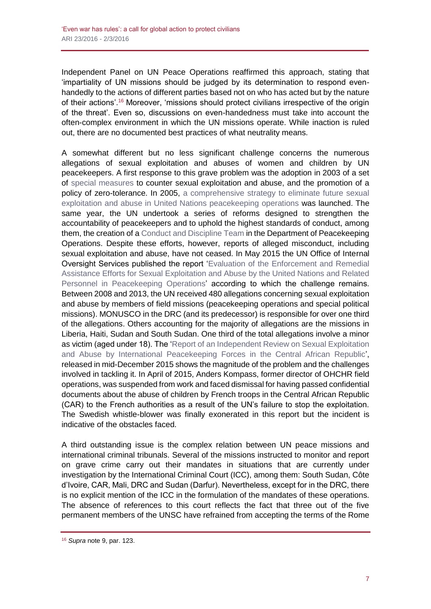Independent Panel on UN Peace Operations reaffirmed this approach, stating that 'impartiality of UN missions should be judged by its determination to respond evenhandedly to the actions of different parties based not on who has acted but by the nature of their actions'.<sup>16</sup> Moreover, 'missions should protect civilians irrespective of the origin of the threat'. Even so, discussions on even-handedness must take into account the often-complex environment in which the UN missions operate. While inaction is ruled out, there are no documented best practices of what neutrality means.

A somewhat different but no less significant challenge concerns the numerous allegations of sexual exploitation and abuses of women and children by UN peacekeepers. A first response to this grave problem was the adoption in 2003 of a set of [special measures](https://oios.un.org/resources/2015/01/ST-SGB-2003-13.pdf) to counter sexual exploitation and abuse, and the promotion of a policy of zero-tolerance. In 2005, a comprehensive strategy to eliminate future sexual [exploitation and abuse in United Nations peacekeeping operations](https://cdu.unlb.org/Portals/0/Documents/KeyDoc5.pdf) was launched. The same year, the UN undertook a series of reforms designed to strengthen the accountability of peacekeepers and to uphold the highest standards of conduct, among them, the creation of a [Conduct and Discipline Team](https://cdu.unlb.org/AboutCDU.aspx) in the Department of Peacekeeping Operations. Despite these efforts, however, reports of alleged misconduct, including sexual exploitation and abuse, have not ceased. In May 2015 the UN Office of Internal Oversight Services published the report ['Evaluation of the Enforcement and Remedial](https://oios.un.org/page?slug=evaluation-report)  [Assistance Efforts for Sexual Exploitation and Abuse by the United Nations and Related](https://oios.un.org/page?slug=evaluation-report)  [Personnel in Peacekeeping Operations'](https://oios.un.org/page?slug=evaluation-report) according to which the challenge remains. Between 2008 and 2013, the UN received 480 allegations concerning sexual exploitation and abuse by members of field missions (peacekeeping operations and special political missions). MONUSCO in the DRC (and its predecessor) is responsible for over one third of the allegations. Others accounting for the majority of allegations are the missions in Liberia, Haiti, Sudan and South Sudan. One third of the total allegations involve a minor as victim (aged under 18). The ['Report of an Independent Review on Sexual Exploitation](http://www.un.org/News/dh/infocus/centafricrepub/Independent-Review-Report.pdf)  [and Abuse by International Peacekeeping Forces in the Central African Republic'](http://www.un.org/News/dh/infocus/centafricrepub/Independent-Review-Report.pdf), released in mid-December 2015 shows the magnitude of the problem and the challenges involved in tackling it. In April of 2015, Anders Kompass, former director of OHCHR field operations, was suspended from work and faced dismissal for having passed confidential documents about the abuse of children by French troops in the Central African Republic (CAR) to the French authorities as a result of the UN's failure to stop the exploitation. The Swedish whistle-blower was finally exonerated in this report but the incident is indicative of the obstacles faced.

A third outstanding issue is the complex relation between UN peace missions and international criminal tribunals. Several of the missions instructed to monitor and report on grave crime carry out their mandates in situations that are currently under investigation by the International Criminal Court (ICC), among them: South Sudan, Côte d'Ivoire, CAR, Mali, DRC and Sudan (Darfur). Nevertheless, except for in the DRC, there is no explicit mention of the ICC in the formulation of the mandates of these operations. The absence of references to this court reflects the fact that three out of the five permanent members of the UNSC have refrained from accepting the terms of the Rome

<sup>16</sup> *Supra* note 9, par. 123.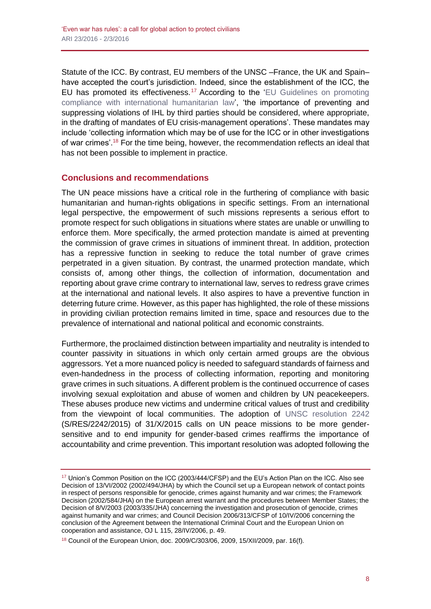Statute of the ICC. By contrast, EU members of the UNSC –France, the UK and Spain– have accepted the court's jurisdiction. Indeed, since the establishment of the ICC, the EU has promoted its effectiveness.<sup>17</sup> According to the 'EU Guidelines on promoting [compliance with international humanitarian law'](http://eur-lex.europa.eu/legal-content/EN/TXT/?uri=uriserv:ah0004), 'the importance of preventing and suppressing violations of IHL by third parties should be considered, where appropriate, in the drafting of mandates of EU crisis-management operations'. These mandates may include 'collecting information which may be of use for the ICC or in other investigations of war crimes'.<sup>18</sup> For the time being, however, the recommendation reflects an ideal that has not been possible to implement in practice.

## **Conclusions and recommendations**

The UN peace missions have a critical role in the furthering of compliance with basic humanitarian and human-rights obligations in specific settings. From an international legal perspective, the empowerment of such missions represents a serious effort to promote respect for such obligations in situations where states are unable or unwilling to enforce them. More specifically, the armed protection mandate is aimed at preventing the commission of grave crimes in situations of imminent threat. In addition, protection has a repressive function in seeking to reduce the total number of grave crimes perpetrated in a given situation. By contrast, the unarmed protection mandate, which consists of, among other things, the collection of information, documentation and reporting about grave crime contrary to international law, serves to redress grave crimes at the international and national levels. It also aspires to have a preventive function in deterring future crime. However, as this paper has highlighted, the role of these missions in providing civilian protection remains limited in time, space and resources due to the prevalence of international and national political and economic constraints.

Furthermore, the proclaimed distinction between impartiality and neutrality is intended to counter passivity in situations in which only certain armed groups are the obvious aggressors. Yet a more nuanced policy is needed to safeguard standards of fairness and even-handedness in the process of collecting information, reporting and monitoring grave crimes in such situations. A different problem is the continued occurrence of cases involving sexual exploitation and abuse of women and children by UN peacekeepers. These abuses produce new victims and undermine critical values of trust and credibility from the viewpoint of local communities. The adoption of [UNSC resolution 2242](http://www.securitycouncilreport.org/atf/cf/%7B65BFCF9B-6D27-4E9C-8CD3-CF6E4FF96FF9%7D/s_res_2242.pdf) (S/RES/2242/2015) of 31/X/2015 calls on UN peace missions to be more gendersensitive and to end impunity for gender-based crimes reaffirms the importance of accountability and crime prevention. This important resolution was adopted following the

<sup>&</sup>lt;sup>17</sup> Union's Common Position on the ICC (2003/444/CFSP) and the EU's Action Plan on the ICC. Also see Decision of 13/VI/2002 (2002/494/JHA) by which the Council set up a European network of contact points in respect of persons responsible for genocide, crimes against humanity and war crimes; the Framework Decision (2002/584/JHA) on the European arrest warrant and the procedures between Member States; the Decision of 8/V/2003 (2003/335/JHA) concerning the investigation and prosecution of genocide, crimes against humanity and war crimes; and Council Decision 2006/313/CFSP of 10/IV/2006 concerning the conclusion of the Agreement between the International Criminal Court and the European Union on cooperation and assistance, OJ L 115, 28/IV/2006, p. 49.

<sup>18</sup> Council of the European Union, doc. 2009/C/303/06, 2009, 15/XII/2009, par. 16(f).